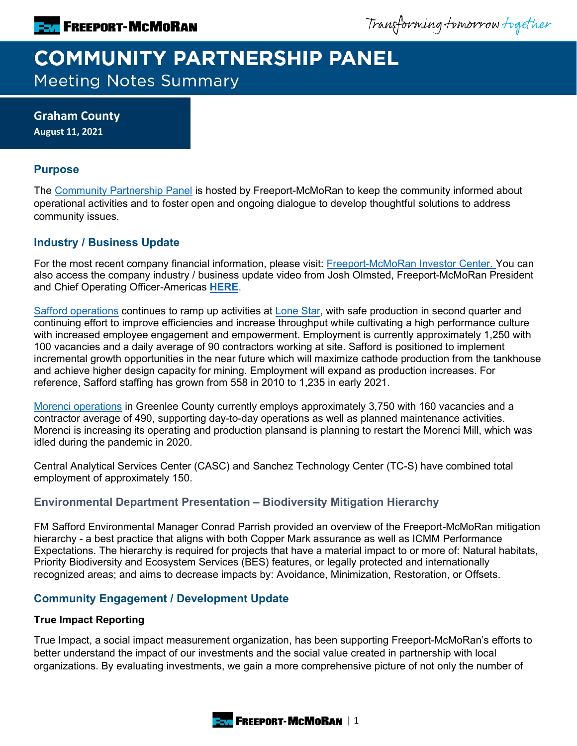Transforming tomorrow together

# **COMMUNITY PARTNERSHIP PANEL Meeting Notes Summary**

**Graham County August 11, 2021**

## **Purpose**

The [Community Partnership Panel](https://www.freeportinmycommunity.com/stakeholders/stakeholder-engagement-) is hosted by Freeport-McMoRan to keep the community informed about operational activities and to foster open and ongoing dialogue to develop thoughtful solutions to address community issues.

# **Industry / Business Update**

For the most recent company financial information, please visit: [Freeport-McMoRan Investor Center.](http://investors.fcx.com/investors/default.aspx) You can also access the company industry / business update video from Josh Olmsted, Freeport-McMoRan President and Chief Operating Officer-Americas **[HERE](https://fmi.hosted.panopto.com/Panopto/Pages/Viewer.aspx?id=1db79e82-512e-46a0-87fa-ad7b01320113)**.

[Safford operations](https://www.fcx.com/operations/north-america#safford_link) continues to ramp up activities at [Lone Star,](https://d2y36twrtb17ty.cloudfront.net/sessions/d51cd07f-4705-445d-b7e7-acf60187ff31/7aa923a1-fb28-486b-91a5-acf60187ff36-b825d394-8d9c-4419-8359-acf700033c3e.mp4) with safe production in second quarter and continuing effort to improve efficiencies and increase throughput while cultivating a high performance culture with increased employee engagement and empowerment. Employment is currently approximately 1,250 with 100 vacancies and a daily average of 90 contractors working at site. Safford is positioned to implement incremental growth opportunities in the near future which will maximize cathode production from the tankhouse and achieve higher design capacity for mining. Employment will expand as production increases. For reference, Safford staffing has grown from 558 in 2010 to 1,235 in early 2021.

[Morenci operations](https://www.fcx.com/operations/north-america#morenci_link) in Greenlee County currently employs approximately 3,750 with 160 vacancies and a contractor average of 490, supporting day-to-day operations as well as planned maintenance activities. Morenci is increasing its operating and production plansand is planning to restart the Morenci Mill, which was idled during the pandemic in 2020.

Central Analytical Services Center (CASC) and Sanchez Technology Center (TC-S) have combined total employment of approximately 150.

# **Environmental Department Presentation – Biodiversity Mitigation Hierarchy**

FM Safford Environmental Manager Conrad Parrish provided an overview of the Freeport-McMoRan mitigation hierarchy - a best practice that aligns with both Copper Mark assurance as well as ICMM Performance Expectations. The hierarchy is required for projects that have a material impact to or more of: Natural habitats, Priority Biodiversity and Ecosystem Services (BES) features, or legally protected and internationally recognized areas; and aims to decrease impacts by: Avoidance, Minimization, Restoration, or Offsets.

# **Community Engagement / Development Update**

#### **True Impact Reporting**

True Impact, a social impact measurement organization, has been supporting Freeport-McMoRan's efforts to better understand the impact of our investments and the social value created in partnership with local organizations. By evaluating investments, we gain a more comprehensive picture of not only the number of

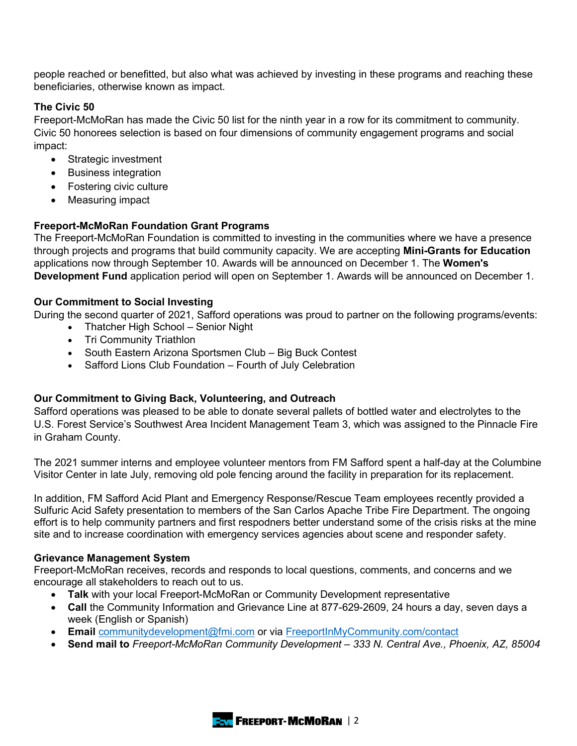people reached or benefitted, but also what was achieved by investing in these programs and reaching these beneficiaries, otherwise known as impact.

### **The Civic 50**

Freeport-McMoRan has made the Civic 50 list for the ninth year in a row for its commitment to community. Civic 50 honorees selection is based on four dimensions of community engagement programs and social impact:

- Strategic investment
- Business integration
- Fostering civic culture
- Measuring impact

#### **Freeport-McMoRan Foundation Grant Programs**

The Freeport-McMoRan Foundation is committed to investing in the communities where we have a presence through projects and programs that build community capacity. We are accepting **Mini-Grants for Education** applications now through September 10. Awards will be announced on December 1. The **Women's Development Fund** application period will open on September 1. Awards will be announced on December 1.

#### **Our Commitment to Social Investing**

During the second quarter of 2021, Safford operations was proud to partner on the following programs/events:

- Thatcher High School Senior Night
- Tri Community Triathlon
- South Eastern Arizona Sportsmen Club Big Buck Contest
- Safford Lions Club Foundation Fourth of July Celebration

#### **Our Commitment to Giving Back, Volunteering, and Outreach**

Safford operations was pleased to be able to donate several pallets of bottled water and electrolytes to the U.S. Forest Service's Southwest Area Incident Management Team 3, which was assigned to the Pinnacle Fire in Graham County.

The 2021 summer interns and employee volunteer mentors from FM Safford spent a half-day at the Columbine Visitor Center in late July, removing old pole fencing around the facility in preparation for its replacement.

In addition, FM Safford Acid Plant and Emergency Response/Rescue Team employees recently provided a Sulfuric Acid Safety presentation to members of the San Carlos Apache Tribe Fire Department. The ongoing effort is to help community partners and first respodners better understand some of the crisis risks at the mine site and to increase coordination with emergency services agencies about scene and responder safety.

#### **Grievance Management System**

Freeport-McMoRan receives, records and responds to local questions, comments, and concerns and we encourage all stakeholders to reach out to us.

- **Talk** with your local Freeport-McMoRan or Community Development representative
- **Call** the Community Information and Grievance Line at 877-629-2609, 24 hours a day, seven days a week (English or Spanish)
- **Email** [communitydevelopment@fmi.com](mailto:communitydevelopment@fmi.com) or via [FreeportInMyCommunity.com/contact](http://freeportinmycommunity.com/contact)
- **Send mail to** *Freeport-McMoRan Community Development 333 N. Central Ave., Phoenix, AZ, 85004*